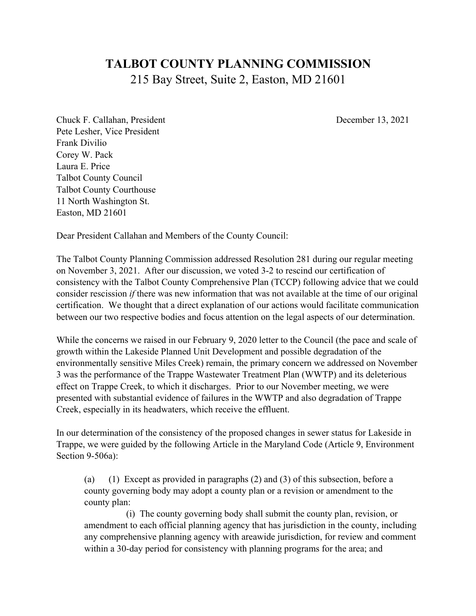## **TALBOT COUNTY PLANNING COMMISSION** 215 Bay Street, Suite 2, Easton, MD 21601

Chuck F. Callahan, President December 13, 2021 Pete Lesher, Vice President Frank Divilio Corey W. Pack Laura E. Price Talbot County Council Talbot County Courthouse 11 North Washington St. Easton, MD 21601

Dear President Callahan and Members of the County Council:

The Talbot County Planning Commission addressed Resolution 281 during our regular meeting on November 3, 2021. After our discussion, we voted 3-2 to rescind our certification of consistency with the Talbot County Comprehensive Plan (TCCP) following advice that we could consider rescission *if* there was new information that was not available at the time of our original certification. We thought that a direct explanation of our actions would facilitate communication between our two respective bodies and focus attention on the legal aspects of our determination.

While the concerns we raised in our February 9, 2020 letter to the Council (the pace and scale of growth within the Lakeside Planned Unit Development and possible degradation of the environmentally sensitive Miles Creek) remain, the primary concern we addressed on November 3 was the performance of the Trappe Wastewater Treatment Plan (WWTP) and its deleterious effect on Trappe Creek, to which it discharges. Prior to our November meeting, we were presented with substantial evidence of failures in the WWTP and also degradation of Trappe Creek, especially in its headwaters, which receive the effluent.

In our determination of the consistency of the proposed changes in sewer status for Lakeside in Trappe, we were guided by the following Article in the Maryland Code (Article 9, Environment Section 9-506a):

(a) (1) Except as provided in paragraphs (2) and (3) of this subsection, before a county governing body may adopt a county plan or a revision or amendment to the county plan:

 (i) The county governing body shall submit the county plan, revision, or amendment to each official planning agency that has jurisdiction in the county, including any comprehensive planning agency with areawide jurisdiction, for review and comment within a 30-day period for consistency with planning programs for the area; and